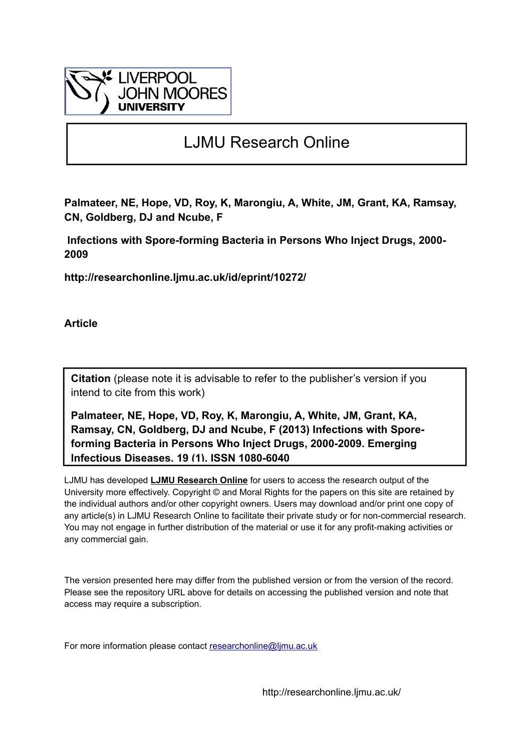

# LJMU Research Online

**Palmateer, NE, Hope, VD, Roy, K, Marongiu, A, White, JM, Grant, KA, Ramsay, CN, Goldberg, DJ and Ncube, F**

 **Infections with Spore-forming Bacteria in Persons Who Inject Drugs, 2000- 2009**

**http://researchonline.ljmu.ac.uk/id/eprint/10272/**

**Article**

**Citation** (please note it is advisable to refer to the publisher's version if you intend to cite from this work)

**Palmateer, NE, Hope, VD, Roy, K, Marongiu, A, White, JM, Grant, KA, Ramsay, CN, Goldberg, DJ and Ncube, F (2013) Infections with Sporeforming Bacteria in Persons Who Inject Drugs, 2000-2009. Emerging Infectious Diseases, 19 (1). ISSN 1080-6040** 

LJMU has developed **[LJMU Research Online](http://researchonline.ljmu.ac.uk/)** for users to access the research output of the University more effectively. Copyright © and Moral Rights for the papers on this site are retained by the individual authors and/or other copyright owners. Users may download and/or print one copy of any article(s) in LJMU Research Online to facilitate their private study or for non-commercial research. You may not engage in further distribution of the material or use it for any profit-making activities or any commercial gain.

The version presented here may differ from the published version or from the version of the record. Please see the repository URL above for details on accessing the published version and note that access may require a subscription.

For more information please contact researchonline@limu.ac.uk

http://researchonline.ljmu.ac.uk/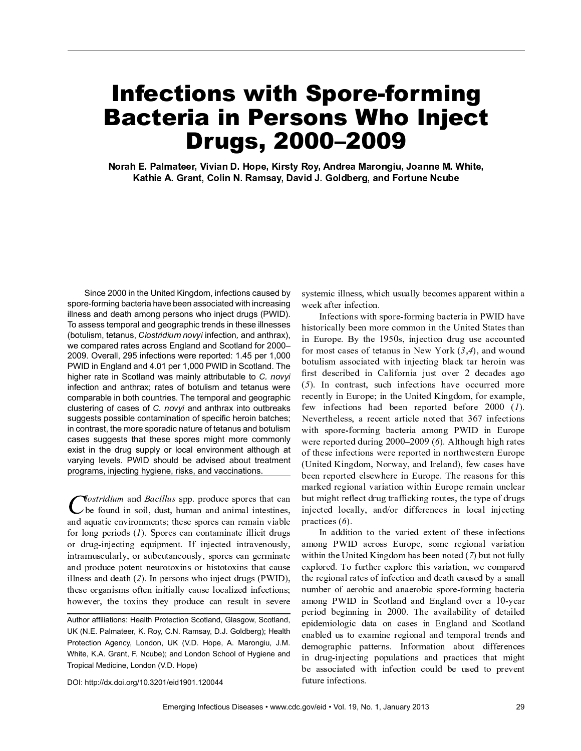# Infections with Spore-forming Bacteria in Persons Who Inject Drugs, 2000–2009

Norah E. Palmateer, Vivian D. Hope, Kirsty Roy, Andrea Marongiu, Joanne M. White, Kathie A. Grant, Colin N. Ramsay, David J. Goldberg, and Fortune Ncube

Since 2000 in the United Kingdom, infections caused by spore-forming bacteria have been associated with increasing illness and death among persons who inject drugs (PWID). To assess temporal and geographic trends in these illnesses (botulism, tetanus, *Clostridium novyi* infection, and anthrax), we compared rates across England and Scotland for 2000– 2009. Overall, 295 infections were reported: 1.45 per 1,000 PWID in England and 4.01 per 1,000 PWID in Scotland. The higher rate in Scotland was mainly attributable to C. novyi infection and anthrax; rates of botulism and tetanus were comparable in both countries. The temporal and geographic clustering of cases of  $C$ . novyi and anthrax into outbreaks suggests possible contamination of specific heroin batches; in contrast, the more sporadic nature of tetanus and botulism cases suggests that these spores might more commonly exist in the drug supply or local environment although at varying levels. PWID should be advised about treatment programs, injecting hygiene, risks, and vaccinations.

 $\eta$  vostridium and Bacillus spp. produce spores that can  $\rightarrow$  be found in soil, dust, human and animal intestines, and aquatic environments; these spores can remain viable for long periods  $(1)$ . Spores can contaminate illicit drugs or drug-injecting equipment. If injected intravenously, intramuscularly, or subcutaneously, spores can germinate and produce potent neurotoxins or histotoxins that cause illness and death  $(2)$ . In persons who inject drugs (PWID), these organisms often initially cause localized infections; however, the toxins they produce can result in severe

Author affiliations: Health Protection Scotland, Glasgow, Scotland, UK (N.E. Palmateer, K. Roy, C.N. Ramsay, D.J. Goldberg); Health Protection Agency, London, UK (V.D. Hope, A. Marongiu, J.M. White, K.A. Grant, F. Ncube); and London School of Hygiene and Tropical Medicine, London (V.D. Hope)

systemic illness, which usually becomes apparent within a week after infection.

Infections with spore-forming bacteria in PWID have historically been more common in the United States than in Europe. By the 1950s, injection drug use accounted for most cases of tetanus in New York  $(3,4)$ , and wound botulism associated with injecting black tar heroin was first described in California just over  $2$  decades ago  $(5)$ . In contrast, such infections have occurred more recently in Europe; in the United Kingdom, for example, few infections had been reported before  $2000$  (1). Nevertheless, a recent article noted that 367 infections with spore-forming bacteria among PWID in Europe were reported during  $2000-2009$  (6). Although high rates of these infections were reported in northwestern Europe (United Kingdom, Norway, and Ireland), few cases have been reported elsewhere in Europe. The reasons for this marked regional variation within Europe remain unclear but might reflect drug trafficking routes, the type of drugs injected locally, and/or differences in local injecting practices  $(6)$ .

In addition to the varied extent of these infections among PWID across Europe, some regional variation within the United Kingdom has been noted  $(7)$  but not fully explored. To further explore this variation, we compared the regional rates of infection and death caused by a small number of aerobic and anaerobic spore-forming bacteria among PWID in Scotland and England over a 10-year period beginning in 2000. The availability of detailed epidemiologic data on cases in England and Scotland enabled us to examine regional and temporal trends and demographic patterns. Information about differences in drug-injecting populations and practices that might be associated with infection could be used to prevent future infections.

DOI: http://dx.doi.org/10.3201/eid1901.120044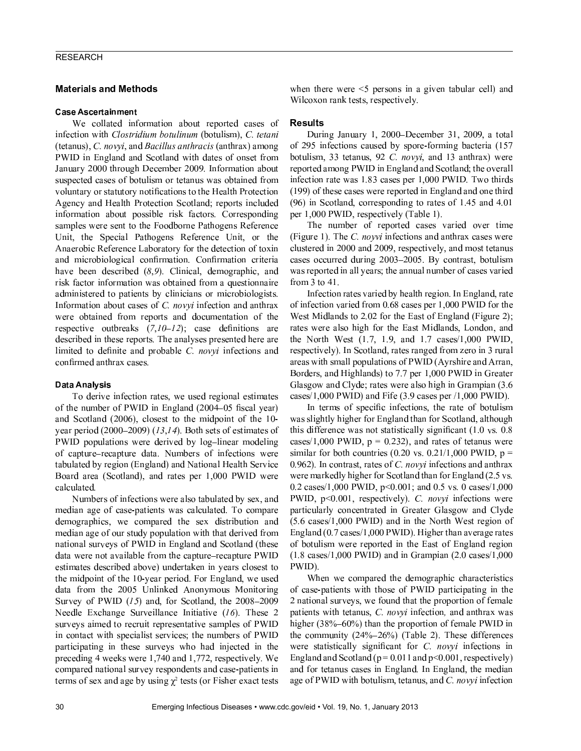# RESEARCH

# **Materials and Methods**

# Case Ascertainment

<sup>ý</sup> <sup>þ</sup> <sup>ÿ</sup> - <sup>þ</sup> - - <sup>þ</sup> <sup>þ</sup> <sup>ÿ</sup> - <sup>þ</sup> <sup>þ</sup> <sup>ÿ</sup> ! (tetanus), C, *novvi*, and *Bacillus anthracis* (anthrax) amon ) <sup>ý</sup> \* <sup>+</sup> , ( - - - <sup>ÿ</sup> - - <sup>þ</sup> <sup>þ</sup> . - - / <sup>0</sup> <sup>1</sup> <sup>1</sup> <sup>1</sup> ( <sup>+</sup> <sup>þ</sup> <sup>ÿ</sup> <sup>þ</sup> <sup>þ</sup> <sup>0</sup> <sup>1</sup> <sup>1</sup> <sup>2</sup> <sup>3</sup> \* - - <sup>þ</sup> <sup>ÿ</sup> <sup>þ</sup> <sup>ÿ</sup> - <sup>þ</sup> <sup>þ</sup> - - - <sup>þ</sup> uoluntaru ar statutaru natifiaations ta tha Haalth Dratastia:  $\mathcal{P}$  , and  $\mathcal{P}$  is a contract of the set of the set of the set of the set of the set of the set of the set of the set of the set of the set of the set of the set of the set of the set of the set of the set of the - -  <sup>þ</sup> <sup>9</sup> - <sup>ÿ</sup> <sup>3</sup> : <sup>þ</sup>  (  $\bullet$  , the set of  $\bullet$  of  $\bullet$   $\bullet$  of  $\bullet$  of  $\bullet$  of  $\bullet$  of  $\bullet$  of  $\bullet$  of  $\bullet$  of  $\bullet$  of  $\bullet$  of  $\bullet$  of  $\bullet$  of  $\bullet$  of  $\bullet$  of  $\bullet$  of  $\bullet$  of  $\bullet$  of  $\bullet$  of  $\bullet$  of  $\bullet$  of  $\bullet$  of  $\bullet$  of  $\bullet$  of  $\bullet$  of  $\bullet$  o <sup>=</sup> <sup>þ</sup> -  <sup>þ</sup> <sup>ÿ</sup> - ) - ( <sup>þ</sup> <sup>&</sup>lt; <sup>þ</sup> <sup>þ</sup> <sup>þ</sup> <sup>ÿ</sup> <sup>þ</sup> <sup>=</sup> <sup>þ</sup> Anaerobic Reference Laboratory for the detection of toxi - <sup>ÿ</sup> ( <sup>ÿ</sup> - <sup>ÿ</sup> <sup>5</sup> - <sup>3</sup> : <sup>5</sup> - <sup>ÿ</sup> <sup>þ</sup> hava haan dasaribad (9.0). Clinisal, damagraphia, an <sup>9</sup> - <sup>ÿ</sup> - - - <sup>þ</sup> - <sup>A</sup> <sup>þ</sup> - <sup>þ</sup>  $\mathbf{p}$  ,  $\mathbf{p}$  ,  $\mathbf{p}$  ,  $\mathbf{p}$  ,  $\mathbf{p}$  ,  $\mathbf{p}$  ,  $\mathbf{p}$  ,  $\mathbf{p}$  ,  $\mathbf{p}$  ,  $\mathbf{p}$  ,  $\mathbf{p}$  ,  $\mathbf{p}$  ,  $\mathbf{p}$  ,  $\mathbf{p}$  ,  $\mathbf{p}$  ,  $\mathbf{p}$  ,  $\mathbf{p}$  ,  $\mathbf{p}$  ,  $\mathbf{p}$  ,  $\mathbf{p}$  , Information about cases of C, *novvi* infection and anthrax  $\bullet$  . The property is the property of the set of the set of the set of the set of the set of the set of the set of the set of the set of the set of the set of the set of the set of the set of the set of the set of the se remestive eythreely  $(7.10, 1.2)$  ease definitions or  $\mathbf{y} = \mathbf{y} + \mathbf{y} + \mathbf{y} + \mathbf{y} + \mathbf{y} + \mathbf{y} + \mathbf{y} + \mathbf{y} + \mathbf{y} + \mathbf{y} + \mathbf{y} + \mathbf{y} + \mathbf{y} + \mathbf{y} + \mathbf{y} + \mathbf{y} + \mathbf{y} + \mathbf{y} + \mathbf{y} + \mathbf{y} + \mathbf{y} + \mathbf{y} + \mathbf{y} + \mathbf{y} + \mathbf{y} + \mathbf{y} + \mathbf{y} + \mathbf{y} + \mathbf{y} + \mathbf{y} + \mathbf$  <sup>þ</sup> <sup>þ</sup> <sup>5</sup> <sup>þ</sup> -  - <sup>þ</sup> " # <sup>þ</sup> <sup>ÿ</sup> confirmed anthrax cases

# <sup>H</sup> <sup>ó</sup> <sup>ù</sup> <sup>ó</sup> <sup>ö</sup> <sup>û</sup> <sup>ó</sup> <sup>I</sup> <sup>J</sup> <sup>ô</sup> <sup>ú</sup> <sup>ô</sup>

 $T_0$  derive infection rates, we used regional estimate  $\rho$  i i  $\rho$  ,  $\rho$  ,  $\rho$  ,  $\rho$  is the set  $\rho$  if  $\rho$ - - <sup>ÿ</sup> - <sup>0</sup> <sup>1</sup> <sup>1</sup> <sup>M</sup> <sup>ÿ</sup> <sup>þ</sup> <sup>þ</sup> <sup>þ</sup> <sup>N</sup> <sup>1</sup> <sup>O</sup>  $\mathcal{P}$  , and a contract  $\mathcal{P}$  , and  $\mathcal{P}$  , and  $\mathcal{P}$  are  $\mathcal{P}$  . Then  $\mathcal{P}$  $\overline{D}$ WID nomilations wore dorived by leg linear modeling  $\delta$  and  $\delta$  is the following the set of  $\delta$  is the set of  $\delta$  is the set of  $\delta$  is the set of  $\delta$  is the set of  $\delta$  is the set of  $\delta$  is the set of  $\delta$  is the set of  $\delta$  is the set of  $\delta$  is the set of  $\delta$  is tehuleted hy region (Englend) and Netional Health Corvie  $\mathcal{P}$  and  $\mathcal{P}$  and  $\mathcal{P}$  and  $\mathcal{P}$  and  $\mathcal{P}$  and  $\mathcal{P}$  and  $\mathcal{P}$  and  $\mathcal{P}$  and  $\mathcal{P}$  and  $\mathcal{P}$  and  $\mathcal{P}$  and  $\mathcal{P}$  and  $\mathcal{P}$  and  $\mathcal{P}$  and  $\mathcal{P}$  and  $\mathcal{P}$  and  $\mathcal{P}$  and <sup>ÿ</sup> - <sup>ÿ</sup> - <sup>þ</sup> <sup>3</sup>

Numbers of infections were also tabulated by sex. an  $\mathbf{r}$  , and  $\mathbf{r}$  is a constant of the state of  $\mathbf{r}$  $d$  emographics, we compared the sex distribution an medien ege ef eur study nomiletion with thet derived frei retional surveys of  $\overline{D}WID$  in England and Cootland (these  $\phi$  to were not evailable from the conture reconture DWI  $\phi$  assume that decomplexed undertaken in your alonget to  $\mathbf{P}$  , and a contract the contract of the set of the set of the set of the set of the set of the set of the set of the set of the set of the set of the set of the set of the set of the set of the set of the set of the  $\bullet$  . The contract of  $\bullet$  is the contract of  $\bullet$  is the contract of  $\bullet$  is the contract of  $\bullet$  is the contract of  $\bullet$  is the contract of  $\bullet$  is the contract of  $\bullet$  is the contract of  $\bullet$  is the contract of  $\bullet$  i  $\mathcal{C}_{\text{uncoor}}$  of DWID  $(15)$  and for  $\mathcal{C}_{\text{cofland}}$  the 2008 200 Needle Exchange Surveillance Initiative  $(16)$ . These  $emr, \alpha$  aimad to reamit representative samples of DWI  $\mu$  contact with gracialist somices; the numbers of DWI portiginating in those surveys who had injected in th  $\mathbf{u}$  weeding the property of  $1.740$  and  $1.772$  respectively. We  $\epsilon$  armored notional survey respected and aggo potionts is terms of sex and age by using  $\gamma^2$  tests (or Fisher exact test  $\mu$ kon thara  $\nu$ ana  $\leq$  narsans in a givan tabular aall) an Wilcoxon rank tests, respectively

# Results

<sup>+</sup> ( . - - / <sup>N</sup> <sup>0</sup> <sup>1</sup> <sup>1</sup> <sup>1</sup> <sup>E</sup> <sup>+</sup> <sup>þ</sup> <sup>ÿ</sup> <sup>þ</sup> <sup>þ</sup> \_ <sup>N</sup> <sup>0</sup> <sup>1</sup> <sup>1</sup> <sup>2</sup> - - <sup>0</sup> <sup>2</sup> <sup>L</sup> <sup>þ</sup> <sup>ÿ</sup> <sup>ÿ</sup> - <sup>þ</sup> /  <sup>þ</sup> <sup>O</sup> ( - <sup>ÿ</sup> <sup>þ</sup> - <sup>N</sup> <sup>L</sup> <sup>Y</sup> botulism. 33 tetanus. 92 C. *novvi*. and 13 anthrax) wer  $\mathbf{p}_\text{quant}$  and  $\mathbf{p}_\text{max}$   $\mathbf{D}\mathbf{W}$  in England and Captland; the event <sup>þ</sup> <sup>ÿ</sup> - <sup>þ</sup> - <sup>N</sup> <sup>3</sup> <sup>V</sup> \_ <sup>ÿ</sup> - <sup>þ</sup> <sup>þ</sup> <sup>N</sup> <sup>1</sup> <sup>1</sup> <sup>1</sup> ) <sup>ý</sup> \* <sup>+</sup> <sup>3</sup> <sup>G</sup>  $\mathcal{L}$  , and  $\mathcal{L}$  . The problems of the problems of the problems of the problems of the problems of the problems of the problems of the problems of the problems of the problems of the problems of the problems of the  $\mathcal{L} \cap \mathcal{L} \cap \mathcal{L} \cap \mathcal{L} \cap \mathcal{L} \cap \mathcal{L} \cap \mathcal{L} \cap \mathcal{L} \cap \mathcal{L} \cap \mathcal{L} \cap \mathcal{L} \cap \mathcal{L} \cap \mathcal{L} \cap \mathcal{L} \cap \mathcal{L} \cap \mathcal{L} \cap \mathcal{L} \cap \mathcal{L} \cap \mathcal{L} \cap \mathcal{L} \cap \mathcal{L} \cap \mathcal{L} \cap \mathcal{L} \cap \mathcal{L} \cap \mathcal{L} \cap \mathcal{L} \cap \mathcal{L} \cap \mathcal{$  $_{\rm{par}}$  1.000 BWID, remeatively (Table 1)

The number of reperted esses veried ever time (Figure 1). The *C. novvi* infections and anthrax cases wer  $\omega$ <sup>ÿ</sup> - <sup>þ</sup> <sup>ÿ</sup> <sup>ÿ</sup> <sup>þ</sup> ( <sup>0</sup> <sup>1</sup> <sup>1</sup> \_ <sup>E</sup> <sup>0</sup> <sup>1</sup> <sup>1</sup> <sup>L</sup> <sup>3</sup> <sup>R</sup> / <sup>ÿ</sup> -  $\frac{1}{2}$  represented in all vegra the ennual number of esses verior from  $3$  to  $41$ .

Infection rates veried by boolth region. In England, rat of infection  $\min_{\theta} \int f(x) \cos(\theta) \cos(\theta) \sin(\theta) \sin(\theta) \sin(\theta) \cos(\theta)$ <sup>ý</sup> <sup>þ</sup> <sup>T</sup> - <sup>0</sup> <sup>3</sup> <sup>1</sup> <sup>0</sup> <sup>þ</sup> , - , ( - ; ( <sup>þ</sup> <sup>0</sup> <sup>8</sup> - <sup>þ</sup> <sup>þ</sup> <sup>þ</sup> - ( <sup>þ</sup> , - <sup>T</sup> - <sup>&</sup>gt; t stift *i meir i stift i stift i stift i st*ift i stift o  $\mathbf{p}$  $\mathcal{L} = \{ \mathcal{L} = \{ \mathcal{L} = \mathcal{L} \} \cup \{ \mathcal{L} = \mathcal{L} \}$ <sup>R</sup> <sup>þ</sup> - <sup>6</sup> ( - <sup>Y</sup> <sup>3</sup> <sup>Y</sup> <sup>þ</sup> <sup>N</sup> <sup>1</sup> <sup>1</sup> <sup>1</sup> ) <sup>ý</sup> \* <sup>+</sup> <sup>b</sup> <sup>þ</sup> - <sup>þ</sup> ل المالية المالية المالية المساحة المساحة المساحة المساحة المساحة المساحة المساحة المساحة المساحة المساحة المس  $\mathcal{G} = \{ \mathbf{y} \in \mathbb{R}^n : \mathbf{y} \in \mathbb{R}^n : \mathbf{y} \in \mathbb{R}^n : \mathbf{y} \in \mathbb{R}^n : \mathbf{y} \in \mathbb{R}^n : \mathbf{y} \in \mathbb{R}^n : \mathbf{y} \in \mathbb{R}^n : \mathbf{y} \in \mathbb{R}^n : \mathbf{y} \in \mathbb{R}^n : \mathbf{y} \in \mathbb{R}^n : \mathbf{y} \in \mathbb{R}^n : \mathbf{y} \in \mathbb{R}^n : \mathbf{y} \$ 

\* <sup>þ</sup> <sup>þ</sup> <sup>ÿ</sup> <sup>5</sup> <sup>ÿ</sup> <sup>þ</sup> <sup>ÿ</sup> <sup>þ</sup> - <sup>þ</sup> - ( / ( <sup>þ</sup> , ( - - - <sup>ÿ</sup> - - ( this difference wes not statistically significant  $(1, 0, \pi, 0)$  $\mathcal{G} = \{ \mathbf{z} \in \mathbb{R}^d : \mathbf{z} \in \mathbb{R}^d \}$  $\epsilon$  of the semi-se (0.20  $\epsilon$  0.21/1.000 BWID  $\epsilon$  $0.962$ ). In contrast, rates of C, *novvi* infections and anthrax were morkedly higher for  $\mathsf{Coath}$  than the for England (2.5 ye  $0.2 \cos(1.000 \text{ BWHD} \cdot \frac{1}{2} \times 0.001 \cdot \text{ and } 0.5 \times 0.0 \cos(1.00 \cdot \text{B} \cdot \text{C} \cdot \text{C} \cdot \text{D} \cdot \text{D} \cdot \text{D} \cdot \text{D} \cdot \text{D} \cdot \text{D} \cdot \text{D} \cdot \text{D} \cdot \text{D} \cdot \text{D} \cdot \text{D} \cdot \text{D} \cdot \text{D} \cdot \text{D} \cdot \text{D} \cdot \text{D} \cdot \text{D} \cdot \text{D} \cdot \text{D} \cdot \text{D}$  $\mathbf{D}\mathbf{W}$   $\mathbf{D}$   $\mathbf{p}$   $\geq 0$   $\Omega$  1 respectively)  $C$  requires infections were  - <sup>ÿ</sup> - / <sup>ÿ</sup> <sup>ÿ</sup> <sup>þ</sup> - <sup>þ</sup> <sup>b</sup> <sup>þ</sup> - <sup>þ</sup> <sup>b</sup> - ( - : / <sup>þ</sup>  $\mathcal{L} = \mathcal{L}$  , and meeting the internal definition of  $\mathcal{L} = \mathcal{L}$  $\Gamma$ nglend (0.7 eesee $/1.000$   $\rm BWHD$ ). Higher then exerces rate <sup>þ</sup> <sup>þ</sup> <sup>þ</sup> <sup>þ</sup> <sup>þ</sup> , - , ( - <sup>þ</sup> (  $\mathcal{N}$  and  $\mathcal{N}$  in the set of  $\mathcal{N}$  is the set of  $\mathcal{N}$  is the set of  $\mathcal{N}$  is the set of  $\mathcal{N}$ PWID).

<sup>ý</sup> <sup>þ</sup> <sup>þ</sup> <sup>ÿ</sup>  - <sup>þ</sup> <sup>þ</sup> <sup>þ</sup> ( -  <sup>ÿ</sup> <sup>ÿ</sup> - - <sup>ÿ</sup> <sup>þ</sup> <sup>ÿ</sup>  $\alpha$  , and  $\alpha$  is the contract of the contract of the contract of the contract of the contract of the contract of the contract of the contract of the contract of the contract of the contract of the contract of the contra  $2$  petiapal guryays, we found that the prepartion of femal patients with tetanus. C. *novvi* infection, and anthrax wa 11 /anni conii 1 100 1 <del>nii 100</del>  $\mathbf{y} = \mathbf{y} + \mathbf{y} + \mathbf{y} + \mathbf{y} + \mathbf{y} + \mathbf{y} + \mathbf{y} + \mathbf{y} + \mathbf{y} + \mathbf{y} + \mathbf{y} + \mathbf{y} + \mathbf{y} + \mathbf{y} + \mathbf{y} + \mathbf{y} + \mathbf{y} + \mathbf{y} + \mathbf{y} + \mathbf{y} + \mathbf{y} + \mathbf{y} + \mathbf{y} + \mathbf{y} + \mathbf{y} + \mathbf{y} + \mathbf{y} + \mathbf{y} + \mathbf{y} + \mathbf{y} + \mathbf$  <sup>þ</sup> <sup>þ</sup> - <sup>ÿ</sup> - / ( <sup>5</sup> <sup>ÿ</sup> - " # <sup>þ</sup> <sup>ÿ</sup>  $\Gamma$ nglend end Sootland (n = 0.011 and n/0.001, respectively - <sup>þ</sup> - <sup>ÿ</sup> - <sup>þ</sup> , ( - <sup>3</sup> \* , ( - <sup>þ</sup> <sup>þ</sup> -  $\alpha$  ,  $\beta$  ,  $\gamma$  ,  $\gamma$  ,  $\gamma$  ,  $\gamma$  ,  $\gamma$  ,  $\gamma$  ,  $\gamma$  ,  $\gamma$  ,  $\gamma$  ,  $\gamma$  ,  $\gamma$  ,  $\gamma$  ,  $\gamma$  ,  $\gamma$  ,  $\gamma$  ,  $\gamma$  ,  $\gamma$  ,  $\gamma$  ,  $\gamma$  ,  $\gamma$  ,  $\gamma$  ,  $\gamma$  ,  $\gamma$  ,  $\gamma$  ,  $\gamma$  ,  $\gamma$  ,  $\gamma$  ,  $\gamma$  ,  $\gamma$  ,  $\gamma$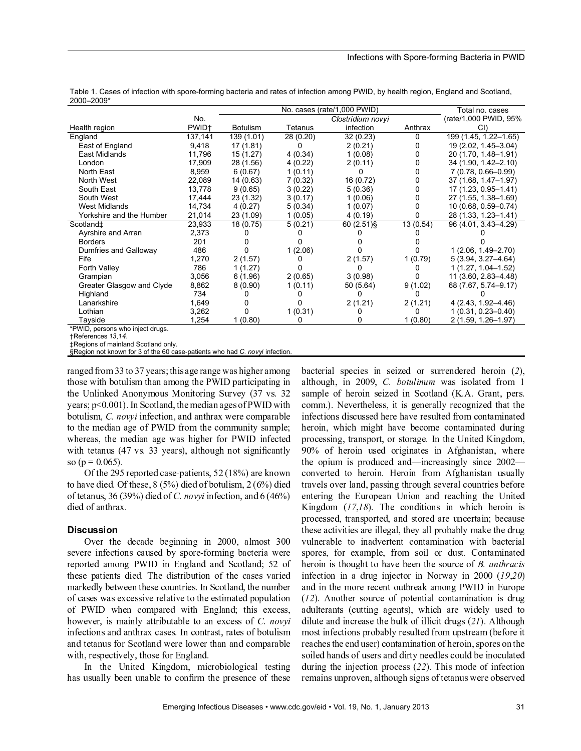#### Infections with Spore-forming Bacteria in PWID

|                                  |                   |                 | Total no. cases |                       |           |                        |
|----------------------------------|-------------------|-----------------|-----------------|-----------------------|-----------|------------------------|
|                                  | No.               |                 |                 | (rate/1,000 PWID, 95% |           |                        |
| Health region                    | PWID <sup>+</sup> | <b>Botulism</b> | Tetanus         | infection             | Anthrax   |                        |
| England                          | 137,141           | 139 (1.01)      | 28 (0.20)       | 32(0.23)              | 0         | 199 (1.45, 1.22-1.65)  |
| East of England                  | 9,418             | 17 (1.81)       | 0               | 2(0.21)               | 0         | 19 (2.02, 1.45-3.04)   |
| East Midlands                    | 11,796            | 15(1.27)        | 4(0.34)         | 1(0.08)               | 0         | 20 (1.70, 1.48-1.91)   |
| London                           | 17,909            | 28 (1.56)       | 4(0.22)         | 2(0.11)               | 0         | 34 (1.90, 1.42-2.10)   |
| North East                       | 8,959             | 6(0.67)         | 1(0.11)         |                       | 0         | 7 (0.78, 0.66-0.99)    |
| North West                       | 22,089            | 14 (0.63)       | 7(0.32)         | 16 (0.72)             | 0         | 37 (1.68, 1.47-1.97)   |
| South East                       | 13,778            | 9(0.65)         | 3(0.22)         | 5(0.36)               | 0         | 17 (1.23, 0.95-1.41)   |
| South West                       | 17,444            | 23 (1.32)       | 3(0.17)         | 1(0.06)               | 0         | 27 (1.55, 1.38-1.69)   |
| <b>West Midlands</b>             | 14,734            | 4(0.27)         | 5(0.34)         | 1(0.07)               |           | 10 (0.68, 0.59-0.74)   |
| Yorkshire and the Humber         | 21,014            | 23 (1.09)       | 1(0.05)         | 4(0.19)               |           | 28 (1.33, 1.23-1.41)   |
| Scotland‡                        | 23,933            | 18 (0.75)       | 5(0.21)         | $60(2.51)\$           | 13 (0.54) | 96 (4.01, 3.43-4.29)   |
| Ayrshire and Arran               | 2,373             |                 |                 |                       |           |                        |
| <b>Borders</b>                   | 201               |                 |                 |                       |           |                        |
| Dumfries and Galloway            | 486               |                 | 1(2.06)         |                       |           | $1(2.06, 1.49 - 2.70)$ |
| Fife                             | 1,270             | 2(1.57)         |                 | 2(1.57)               | 1(0.79)   | $5(3.94, 3.27 - 4.64)$ |
| Forth Valley                     | 786               | 1(1.27)         |                 |                       |           | $1(1.27, 1.04 - 1.52)$ |
| Grampian                         | 3,056             | 6(1.96)         | 2(0.65)         | 3(0.98)               |           | 11 (3.60, 2.83-4.48)   |
| Greater Glasgow and Clyde        | 8,862             | 8(0.90)         | 1(0.11)         | 50 (5.64)             | 9(1.02)   | 68 (7.67, 5.74-9.17)   |
| Highland                         | 734               |                 |                 |                       |           |                        |
| Lanarkshire                      | 1,649             |                 |                 | 2(1.21)               | 2(1.21)   | 4 (2.43, 1.92-4.46)    |
| Lothian                          | 3,262             |                 | 1(0.31)         |                       |           | $1(0.31, 0.23 - 0.40)$ |
| Tayside                          | 1,254             | 1(0.80)         | 0               |                       | 1(0.80)   | 2 (1.59, 1.26-1.97)    |
| *PIA/ID nereone who inject drugs |                   |                 |                 |                       |           |                        |

Table 1. Cases of infection with spore-forming bacteria and rates of infection among PWID, by health region, England and Scotland, 2000–2009\*

\*PWID, persons who inject drugs.

†References 13,14.

‡Regions of mainland Scotland only.

§Region not known for 3 of the 60 case-patients who had C. novyi infection.

ranged from 33 to 37 years; this age range was higher among those with botulism than among the PWID participating in the Unlinked Anonymous Monitoring Survey (37 vs. 32 years;  $p < 0.001$ ). In Scotland, the median ages of PWID with botulism, C. novyi infection, and anthrax were comparable to the median age of PWID from the community sample; whereas, the median age was higher for PWID infected with tetanus  $(47 \text{ vs. } 33 \text{ years})$ , although not significantly so ( $p = 0.065$ ).

Of the 205 nonember 2022 notice to  $\mathcal{L}2(100/2)$  and  $\mathcal{L}200$ to heave died. Of these  $9/50/1$  died of hetalisms  $2/60/1$  die of tetanus, 36 (39%) died of C. novyi infection, and  $6(46\%)$ died of anthrax.

# Discussion

O  $\mu$  the decode hegianing in  $2000$  elmeet  $20$ severe infections caused by spore-forming bacteria were reported among PWID in England and Scotland; 52 of these patients died. The distribution of the cases varied markedly between these countries. In Scotland, the number of cases was excessive relative to the estimated population of PWID when compared with England; this excess, however, is mainly attributable to an excess of C. novyi infections and anthrax cases. In contrast, rates of botulism and tetanus for Scotland were lower than and comparable with, respectively, those for England.

In the United Kingdom, microbiological testing has usually been unable to confirm the presence of these

bacterial species in seized or surrendered heroin  $(2)$ , although, in  $2009$ , C. botulinum was isolated from 1 sample of heroin seized in Scotland (K.A. Grant, pers. comm.). Nevertheless, it is generally recognized that the infections discussed here have resulted from contaminated heroin, which might have become contaminated during processing, transport, or storage. In the United Kingdom,  $90\%$  of heroin used originates in Afghanistan, where the opium is produced and—increasingly since  $2002$ converted to heroin. Heroin from Afghanistan usually travels over land, passing through several countries before entering the European Union and reaching the United Kingdom  $(17,18)$ . The conditions in which heroin is processed, transported, and stored are uncertain; because these activities are illegal, they all probably make the drug vulnerable to inadvertent contamination with bacterial spores, for example, from soil or dust. Contaminated heroin is thought to have been the source of  $B$ . anthracis infection in a drug injector in Norway in  $2000$  (19,20) and in the more recent outbreak among PWID in Europe  $(12)$ . Another source of potential contamination is drug adulterants (cutting agents), which are widely used to dilute and increase the bulk of illicit drugs  $(21)$ . Although most infections probably resulted from upstream (before it reaches the end user) contamination of heroin, spores on the soiled hands of users and dirty needles could be inoculated during the injection process  $(22)$ . This mode of infection remains unproven, although signs of tetanus were observed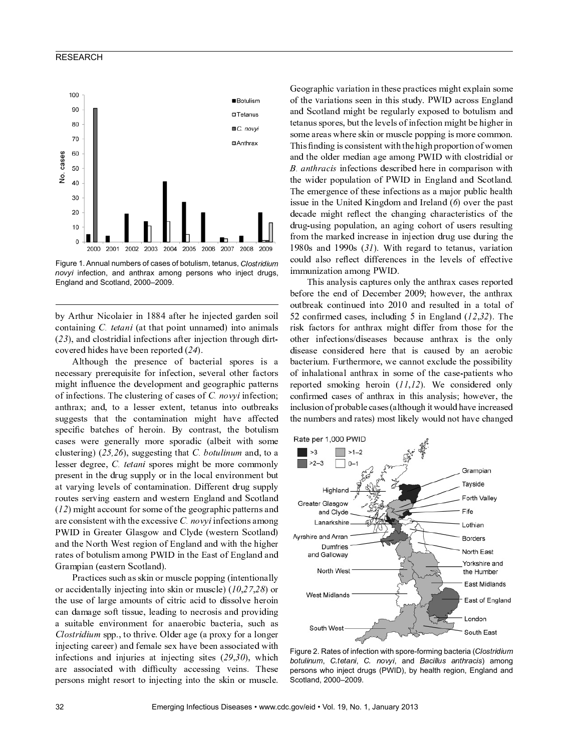# RESEARCH



Figure 1. Annual numbers of cases of botulism, tetanus, Clostridium novyi infection, and anthrax among persons who inject drugs, England and Scotland, 2000–2009.

by Arthur Nicolaier in 1884 after he injected garden soil containing  $C$ . *tetani* (at that point unnamed) into animals  $(23)$ , and clostridial infections after injection through dirt- $\alpha$ 

Although the presence of bacterial spores is a nassasary proroguigito for infostion, soverel other fector might influence the development and goographic pattern  $\alpha$  is the finite and an analysis in the final finite  $\alpha$  of  $\alpha$   $\alpha$  is a finite  $\alpha$  of  $\alpha$  $\bullet$  . The set  $\bullet$  is the following  $\bullet$  is the following  $\bullet$  is the set  $\bullet$  is the  $\bullet$ <sup>ñ</sup> <sup>á</sup> <sup>ð</sup> <sup>ð</sup> <sup>è</sup> <sup>ñ</sup> <sup>ß</sup> <sup>ñ</sup> <sup>ß</sup> <sup>à</sup> <sup>ç</sup> <sup>ß</sup> <sup>ß</sup> <sup>à</sup> <sup>è</sup> <sup>ä</sup> <sup>å</sup> <sup>é</sup> <sup>ß</sup> <sup>ç</sup> <sup>û</sup> <sup>ã</sup> <sup>é</sup> <sup>ç</sup> <sup>ß</sup> <sup>ã</sup> <sup>å</sup> <sup>é</sup> <sup>û</sup> <sup>ã</sup> <sup>ð</sup> <sup>à</sup> <sup>ß</sup> <sup>à</sup> <sup>ç</sup> <sup>è</sup> <sup>ç</sup> <sup>í</sup> <sup>í</sup> <sup>è</sup> <sup>ä</sup> <sup>ß</sup> <sup>è</sup> <sup>ï</sup> specific batches of heroin. By contrast, the botulism cases were generally more sporadic (albeit with some clustering)  $(25, 26)$ , suggesting that C. botulinum and, to a lesser degree, C. tetani spores might be more commonly nresent in the drug sunnly er in the leeel environment hy  $\alpha$  is the lands of contemination. Different drug supply routes serving eestern and western England and Caetlen  $(12)$  might account for some of the geographic patterns and <sup>ç</sup> <sup>Þ</sup> <sup>è</sup> <sup>ä</sup> <sup>å</sup> <sup>é</sup> <sup>ñ</sup> <sup>ã</sup> <sup>ñ</sup> <sup>ß</sup> <sup>è</sup> <sup>é</sup> <sup>ß</sup> <sup>ã</sup> <sup>ß</sup> <sup>à</sup> <sup>ß</sup> <sup>à</sup> <sup>è</sup> <sup>è</sup> <sup>ä</sup> <sup>è</sup> <sup>ñ</sup> <sup>ñ</sup> <sup>ã</sup> <sup>è</sup> <sup>ò</sup> <sup>ó</sup> <sup>÷</sup> <sup>ø</sup> <sup>ã</sup> <sup>é</sup> <sup>í</sup> <sup>è</sup> <sup>ä</sup> <sup>ß</sup> <sup>ã</sup> <sup>å</sup> <sup>é</sup> <sup>ñ</sup> <sup>ç</sup> <sup>û</sup> <sup>å</sup> <sup>é</sup> <sup>ð</sup> PWID in Greater Glasgow and Clyde (western Scotland) <sup>ç</sup> <sup>é</sup> <sup>ï</sup> <sup>ß</sup> <sup>à</sup> <sup>è</sup> <sup>â</sup> <sup>å</sup> <sup>Þ</sup> <sup>ß</sup> <sup>à</sup> <sup>è</sup> <sup>ñ</sup> <sup>ß</sup> <sup>Þ</sup> <sup>è</sup> <sup>ð</sup> <sup>ã</sup> <sup>å</sup> <sup>é</sup> <sup>å</sup> <sup>í</sup> <sup>é</sup> <sup>ð</sup> <sup>æ</sup> <sup>ç</sup> <sup>é</sup> <sup>ï</sup> <sup>ç</sup> <sup>é</sup> <sup>ï</sup> <sup>ã</sup> <sup>ß</sup> <sup>à</sup> <sup>ß</sup> <sup>à</sup> <sup>è</sup> <sup>à</sup> <sup>ã</sup> <sup>ð</sup> <sup>à</sup> <sup>è</sup> <sup>Þ</sup> <sup>Þ</sup> <sup>ç</sup> <sup>ß</sup> <sup>è</sup> <sup>ñ</sup> <sup>å</sup> <sup>í</sup> <sup>Û</sup> <sup>å</sup> <sup>ß</sup> <sup>á</sup> <sup>æ</sup> <sup>ã</sup> <sup>ñ</sup> <sup>û</sup> <sup>ç</sup> <sup>û</sup> <sup>å</sup> <sup>é</sup> <sup>ð</sup> <sup>ã</sup> <sup>é</sup> <sup>ß</sup> <sup>à</sup> <sup>è</sup> <sup>ç</sup> <sup>ñ</sup> <sup>ß</sup> <sup>å</sup> <sup>í</sup> <sup>é</sup> <sup>ð</sup> <sup>æ</sup> <sup>ç</sup> <sup>é</sup> <sup>ï</sup> <sup>ç</sup> <sup>é</sup> <sup>ï</sup> Grampian (eastern Scotland).

 <sup>Þ</sup> <sup>ç</sup> <sup>ä</sup> <sup>ß</sup> <sup>ã</sup> <sup>ä</sup> <sup>è</sup> <sup>ñ</sup> <sup>ñ</sup> <sup>á</sup> <sup>ä</sup> <sup>à</sup> <sup>ç</sup> <sup>ñ</sup> <sup>ñ</sup> <sup>ã</sup> <sup>é</sup> <sup>å</sup> <sup>Þ</sup> <sup>û</sup> <sup>á</sup> <sup>ñ</sup> <sup>ä</sup> <sup>æ</sup> <sup>è</sup> <sup>ú</sup> <sup>å</sup> <sup>ú</sup> <sup>ú</sup> <sup>ã</sup> <sup>é</sup> <sup>ð</sup> <sup>ù</sup> <sup>ã</sup> <sup>é</sup> <sup>ß</sup> <sup>è</sup> <sup>é</sup> <sup>ß</sup> <sup>ã</sup> <sup>å</sup> <sup>é</sup> <sup>ç</sup> <sup>æ</sup> <sup>æ</sup> <sup>Ü</sup> or accidentally injecting into skin or muscle)  $(10, 27, 28)$  or  $\epsilon$ ha usa af larga smaunts af aitris said to dissalva harai aan damaga saft tiggua, loading ta noorasig and nro-idin a suitekla aprironmant for enegrabia beataria, suak a  $\mathcal{C}_{\mathcal{L}}$  and  $\mathcal{L}_{\mathcal{L}}$  is the sum of  $\mathcal{L}_{\mathcal{L}}$  and  $\mathcal{L}_{\mathcal{L}}$  and  $\mathcal{L}_{\mathcal{L}}$  $\mu$  is a  $\mu$  in a group of  $\mu$  and  $\mu$  and  $\mu$  is a set of  $\mu$  is a consisted with infections and injuries at injecting sites  $(29.30)$ , whic  $\alpha$  esseciated with different economic voirs. These persons might resort to injecting into the skin or muscle.

 $\epsilon$  as graphic variation in these prestiges might evolution same  $\alpha$ f the verietions seen in this study. DWID eeress Englen and Scotland might be regularly exposed to botulism and  $\epsilon$ some areas where skin or muscle popping is more common. This finding is consistent with the high proportion of women <sup>ç</sup> <sup>é</sup> <sup>ï</sup> <sup>ß</sup> <sup>à</sup> <sup>è</sup> <sup>å</sup> <sup>æ</sup> <sup>ï</sup> <sup>è</sup> <sup>Þ</sup> <sup>û</sup> <sup>è</sup> <sup>ï</sup> <sup>ã</sup> <sup>ç</sup> <sup>é</sup> <sup>ç</sup> <sup>ð</sup> <sup>è</sup> <sup>ç</sup> <sup>û</sup> <sup>å</sup> <sup>é</sup> <sup>ð</sup> <sup>ã</sup> <sup>ß</sup> <sup>à</sup> <sup>ä</sup> <sup>æ</sup> <sup>å</sup> <sup>ñ</sup> <sup>ß</sup> <sup>Þ</sup> <sup>ã</sup> <sup>ï</sup> <sup>ã</sup> <sup>ç</sup> <sup>æ</sup> <sup>å</sup> <sup>Þ</sup> ( <sup>ó</sup> <sup>ö</sup> <sup>÷</sup> <sup>ô</sup> ) \$ <sup>ö</sup> \* <sup>ø</sup> # <sup>ã</sup> <sup>é</sup> <sup>í</sup> <sup>è</sup> <sup>ä</sup> <sup>ß</sup> <sup>ã</sup> <sup>å</sup> <sup>é</sup> <sup>ñ</sup> <sup>ï</sup> <sup>è</sup> <sup>ñ</sup> <sup>ä</sup> <sup>Þ</sup> <sup>ã</sup> <sup>Û</sup> <sup>è</sup> <sup>ï</sup> <sup>à</sup> <sup>è</sup> <sup>Þ</sup> <sup>è</sup> <sup>ã</sup> <sup>é</sup> <sup>ä</sup> <sup>å</sup> <sup>û</sup> <sup>ú</sup> <sup>ç</sup> <sup>Þ</sup> <sup>ã</sup> <sup>ñ</sup> <sup>å</sup> <sup>é</sup> <sup>ã</sup> <sup>ß</sup> <sup>à</sup> ة في أن ثقافة الإنترنت في ذلك في المقابل المقابل المقابل المقابل المقابل المقابل المقابل المقابل المقابل المقا The emergence of these infections as a major public health  $\mathbf{a}$  in the United Kingdom and Ireland  $(\mathbf{c})$  even the neg decade might reflect the changing characteristics of the drug-using population, an aging cohort of users resulting from the marked increase in injection drug use during the  $1000g$  and  $1000g$   $(21)$  With regard to totanus verieties equid else reflect differences in the levels of effective <sup>ã</sup> <sup>û</sup> <sup>û</sup> <sup>á</sup> <sup>é</sup> <sup>ã</sup> / <sup>ç</sup> <sup>ß</sup> <sup>ã</sup> <sup>å</sup> <sup>é</sup> <sup>ç</sup> <sup>û</sup> <sup>å</sup> <sup>é</sup> <sup>ð</sup>

This analysis captures only the anthrax cases reported  $hofone$  the end of December 2000; however, the enthrooutbreak continued into 2010 and resulted in a total of <sup>1</sup> <sup>0</sup> <sup>ä</sup> <sup>å</sup> <sup>é</sup> <sup>Þ</sup> <sup>û</sup> <sup>è</sup> <sup>ï</sup> <sup>ä</sup> <sup>ç</sup> <sup>ñ</sup> <sup>è</sup> <sup>ñ</sup> <sup>ÿ</sup> <sup>ã</sup> <sup>é</sup> <sup>ä</sup> <sup>æ</sup> <sup>á</sup> <sup>ï</sup> <sup>ã</sup> <sup>é</sup> <sup>ð</sup> <sup>1</sup> <sup>ã</sup> <sup>é</sup> <sup>é</sup> <sup>ð</sup> <sup>æ</sup> <sup>ç</sup> <sup>é</sup> <sup>ï</sup> <sup>ù</sup> <sup>ý</sup> <sup>ÿ</sup> <sup>þ</sup> <sup>ý</sup> <sup>ü</sup> <sup>à</sup> <sup>è</sup> risk factors for anthrax might differ from those for the other infections/diseases because anthrax is the only disease considered here that is caused by an aerobic bacterium. Furthermore, we cannot exclude the possibility of inhalational anthrax in some of the case-patients who <sup>Þ</sup> <sup>è</sup> <sup>ú</sup> <sup>å</sup> <sup>Þ</sup> <sup>ß</sup> <sup>è</sup> <sup>ï</sup> <sup>ñ</sup> <sup>û</sup> <sup>å</sup> <sup>ã</sup> <sup>é</sup> <sup>ð</sup> <sup>à</sup> <sup>è</sup> <sup>Þ</sup> <sup>å</sup> <sup>ã</sup> <sup>é</sup> <sup>ù</sup> <sup>ÿ</sup> <sup>ý</sup> <sup>ü</sup> <sup>è</sup> <sup>ä</sup> <sup>å</sup> <sup>é</sup> <sup>ñ</sup> <sup>ã</sup> <sup>ï</sup> <sup>è</sup> <sup>Þ</sup> <sup>è</sup> <sup>ï</sup> <sup>å</sup> <sup>é</sup> <sup>æ</sup> <sup>Ü</sup>  $\epsilon$  and  $\epsilon$  and a set outhor in this analysis; however the  $\dot{a}$  alugion of proboble esses (elthough it would have ineresse the numbers and rates) most likely would not have abonge



Figure 2. Rates of infection with spore-forming bacteria (Clostridium botulinum, C.tetani, C. novyi, and Bacillus anthracis) among persons who inject drugs (PWID), by health region, England and Scotland, 2000–2009.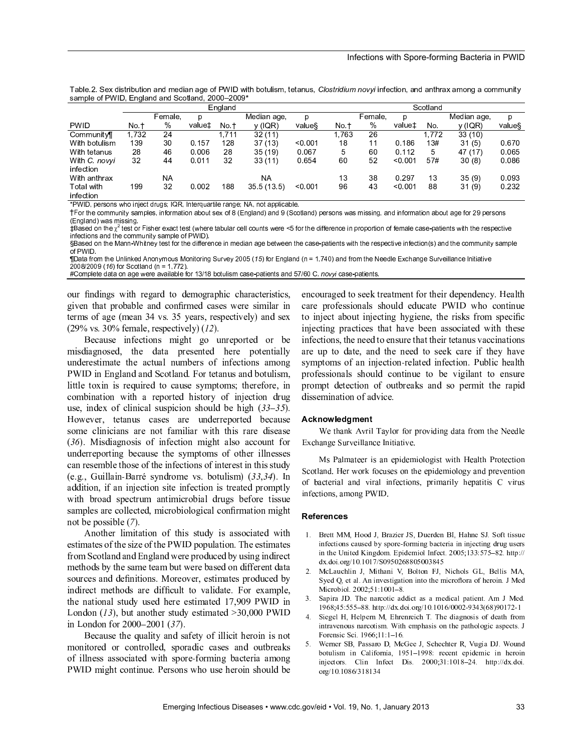| sample of FWID, England and Scotland, 2000–2009 |         |           |        |       |             |         |          |         |         |     |             |        |  |
|-------------------------------------------------|---------|-----------|--------|-------|-------------|---------|----------|---------|---------|-----|-------------|--------|--|
|                                                 | England |           |        |       |             |         | Scotland |         |         |     |             |        |  |
|                                                 |         | Female.   | D      |       | Median age, | p       |          | Female. | D       |     | Median age. | D      |  |
| <b>PWID</b>                                     | No t    | %         | value± | No.t  | y (IQR)     | value   | No t     | %       | value±  | No. | y (IQR)     | value§ |  |
| Community                                       | 1,732   | 24        |        | 1.711 | 32(11)      |         | 1,763    | 26      |         | 772 | 33(10)      |        |  |
| With botulism                                   | 139     | 30        | 0.157  | 128   | 37(13)      | < 0.001 | 18       | 11      | 0.186   | 13# | 31(5)       | 0.670  |  |
| With tetanus                                    | 28      | 46        | 0.006  | 28    | 35(19)      | 0.067   | 5        | 60      | 0.112   | 5   | 47 (17)     | 0.065  |  |
| With C. novyi                                   | 32      | 44        | 0.011  | 32    | 33(11)      | 0.654   | 60       | 52      | < 0.001 | 57# | 30(8)       | 0.086  |  |
| infection                                       |         |           |        |       |             |         |          |         |         |     |             |        |  |
| With anthrax                                    |         | <b>NA</b> |        |       | NA          |         | 13       | 38      | 0.297   | 13  | 35(9)       | 0.093  |  |
| Total with<br>infortion                         | 199     | 32        | 0.002  | 188   | 355(13.5)   | 0.001   | 96       | 43      | < 0.001 | 88  | 31(9)       | 0.232  |  |

Table.2. Sex distribution and median age of PWID with botulism, tetanus, Clostridium novyi infection, and anthrax among a communit  $\mathsf{R}$  and a f PWID. England and Scotland, 2000, 2000\*

N <sup>O</sup> <sup>P</sup> <sup>Q</sup> R <sup>S</sup> <sup>T</sup> <sup>U</sup> <sup>V</sup> <sup>W</sup> <sup>X</sup> <sup>Y</sup> <sup>W</sup> <sup>Z</sup> [ <sup>X</sup> \ Y ] <sup>U</sup> ^ \_ ` <sup>V</sup> <sup>a</sup> <sup>b</sup> <sup>W</sup> <sup>c</sup> <sup>Q</sup> d <sup>e</sup> <sup>S</sup> <sup>Q</sup> Y \_ U <sup>V</sup> <sup>f</sup> <sup>a</sup> <sup>g</sup> <sup>V</sup> \_ \ h U <sup>V</sup> <sup>g</sup> <sup>Y</sup> <sup>b</sup> <sup>U</sup> <sup>c</sup> <sup>i</sup> <sup>j</sup> <sup>S</sup> <sup>Y</sup> <sup>X</sup> \_ <sup>g</sup> <sup>T</sup> <sup>T</sup> <sup>h</sup> \ ^ <sup>g</sup> <sup>k</sup> <sup>h</sup> U <sup>l</sup>

1 <sup>m</sup> X <sup>V</sup> \_ [ <sup>U</sup> ^ <sup>X</sup> <sup>n</sup> <sup>n</sup> <sup>a</sup> <sup>Y</sup> \ \_ <sup>o</sup> <sup>W</sup> <sup>g</sup> <sup>n</sup> <sup>T</sup> <sup>h</sup> U <sup>W</sup> <sup>S</sup> \ Y <sup>p</sup> X <sup>V</sup> <sup>n</sup> <sup>g</sup> \_ \ X <sup>Y</sup> <sup>g</sup> <sup>k</sup> <sup>X</sup> <sup>a</sup> \_ <sup>W</sup> <sup>U</sup> <sup>q</sup> <sup>X</sup> <sup>p</sup> <sup>r</sup> <sup>s</sup> <sup>t</sup> <sup>Y</sup> <sup>b</sup> <sup>h</sup> g <sup>Y</sup> ` <sup>u</sup> <sup>g</sup> <sup>Y</sup> ` <sup>v</sup> <sup>s</sup> <sup>w</sup> ^ <sup>X</sup> \_ h g <sup>Y</sup> ` <sup>u</sup> <sup>T</sup> <sup>U</sup> <sup>V</sup> <sup>W</sup> <sup>X</sup> <sup>Y</sup> <sup>W</sup> <sup>Z</sup> <sup>g</sup> <sup>W</sup> <sup>n</sup> \ W <sup>W</sup> \ Y <sup>b</sup> <sup>S</sup> <sup>g</sup> <sup>Y</sup> ` \ Y <sup>p</sup> <sup>X</sup> <sup>V</sup> <sup>n</sup> <sup>g</sup> \_ \ X <sup>Y</sup> <sup>g</sup> <sup>k</sup> <sup>X</sup> <sup>a</sup> \_ <sup>g</sup> <sup>b</sup> <sup>U</sup> <sup>p</sup> X <sup>V</sup> <sup>x</sup> <sup>v</sup> <sup>T</sup> <sup>U</sup> <sup>V</sup> <sup>W</sup> <sup>X</sup> <sup>Y</sup> <sup>W</sup>  $s = 1$  b and  $\mathcal{S} = 1$  where  $\mathcal{S} = 1$ 

12 i 13 de gasto 2000 estas en 1919 en 1919 en 1920 en 1920 en 1920 en 1920 en 1920 en 1920 en 1920 en 1920 en

an is different particular and the state of the state of the state of the state of the different control of the *<i>P P*  $\sim$  *P*  $\sim$  *P*  $\sim$ 

R g p V X n a W x a W x a W x a V t y la seu para la valencia de la valencia de la valencia de la valencia de<br>La valencia de la valencia de la valencia de la valencia de la valencia de la valencia de la valencia de la va x <sup>r</sup> <sup>x</sup> <sup>v</sup> <sup>s</sup> <sup>u</sup> <sup>p</sup> <sup>X</sup> <sup>V</sup> <sup>w</sup> ^ <sup>X</sup> \_ h g <sup>Y</sup> ` <sup>s</sup> <sup>Y</sup> <sup>S</sup> <sup>x</sup> <sup>u</sup> <sup>l</sup>  $\mathcal{H} \bullet \quad \mathcal{H} \bullet \quad \mathcal{H} \bullet \quad \mathcal{H} \bullet \quad \mathcal{H} \bullet \quad \mathcal{H} \bullet \quad \mathcal{H} \bullet \quad \mathcal{H} \bullet \quad \mathcal{H} \bullet \quad \mathcal{H} \bullet \quad \mathcal{H} \bullet \quad \mathcal{H} \bullet \quad \mathcal{H} \bullet \quad \mathcal{H} \bullet \quad \mathcal{H} \bullet \quad \mathcal{H} \bullet \quad \mathcal{H} \bullet \quad \mathcal{H} \bullet \quad \mathcal{H} \bullet \quad \mathcal{H} \bullet \quad \mathcal{H} \bullet \quad \mathcal{H} \bullet \quad$ 

our findings with regard to demographic characteristics, given that probable and confirmed cases were similar in terms of age (mean 34 vs. 35 years, respectively) and sex  $(29\% \text{ vs. } 30\% \text{ female, respectively})$  (12).

Deceyse infections might as warenouted on h misdiagnosed, the data presented here potentially underestimate the actual numbers of infections among  $\text{NWID}$  in England and Caatland. Ean tatanus and hatuliant little toxin is required to cause symptoms; therefore, in combination with a reported history of injection drug use, index of clinical suspicion should be high  $(33-35)$ . H Tawayan tatanya gagag ang undanugnantad hagaya some clinicians are not familiar with this rare disease  $(36)$ . Misdiagnosis of infection might also account for underreporting because the symptoms of other illnesses can resemble those of the infections of interest in this study  $\sigma \sim \Gamma$  ullege Deaph symdromes van botulisma) (22.24). L addition, if an injection site infection is treated promptly with broad spectrum antimicrobial drugs before tissue samples are collected, microbiological confirmation might not be possible  $(7)$ .

 $\Lambda$  mother limitation of this study is esseciated with  $\alpha$  regiment on  $\alpha$  f the  $\alpha$  of the DWID momentation. The equipment from Scotland and England were produced by using indirect methods by the same team but were based on different data sources and definitions. Moreover, estimates produced by indirect methods are difficult to validate. For example,  $\mathcal{L}$  is notional study used here estimated 17,000 BWID. L and an  $(12)$  but enother study estimated  $>20.000$  DWL <sup>N</sup> <sup>L</sup> <sup>H</sup> <sup>L</sup> <sup>M</sup> <sup>H</sup> <sup>L</sup> ] <sup>H</sup> <sup>J</sup> <sup>f</sup> <sup>i</sup> <sup>i</sup> <sup>i</sup> <sup>x</sup> <sup>f</sup> <sup>i</sup> <sup>i</sup> ^ <sup>w</sup> <sup>d</sup> <sup>a</sup>

Deceyse the quelity and sefety of illigit housin is not monitored or controlled, sporadic cases and outbreaks of illness associated with spore-forming bacteria among muller might continue. Demeans who use housin should be

angarung sad ta saal tugatus ant fan thain danamdanar. Haalt agus nucleographic deculd educate DWID who sontinu to inject about injecting hygiene, the risks from specific injecting practices that have been associated with these infections, the need to ensure that their tetanus vaccinations are up to date, and the need to seek care if they have  $P$  representation intention up to the faction. Dublin health professionals should continue to be vigilant to ensure prompt detection of outbreaks and so permit the rapid dissemination of advice.

# Acknowledgment

We thank Avril Taylor for providing data from the Needle Exchange Surveillance Initiative.

Ms Palmateer is an epidemiologist with Health Protection Scotland. Her work focuses on the epidemiology and prevention of bacterial and viral infections, primarily hepatitis C virus infections, among PWID.

#### References

- 1. Brett MM, Hood J, Brazier JS, Duerden BI, Hahne SJ. Soft tissue infections caused by spore forming bacteria in injecting drug users in the United Kingdom. Epidemiol Infect. 2005;133:575-82. http:// dx.doi.org/10.1017/S0950268805003845
- 2. McLauchlin J, Mithani V, Bolton FJ, Nichols GL, Bellis MA, Syed Q, et al. An investigation into the microflora of heroin. J Med Microbiol.  $2002:51:1001 - 8$ .
- 3. Sapira JD. The narcotic addict as a medical patient. Am J Med.  $1968;45:555-88$ , http://dx.doi.org/10.1016/0002-9343(68)90172-1
- 4. Siegel H, Helpern M, Ehrenreich T. The diagnosis of death from intravenous narcotism. With emphasis on the pathologic aspects. J Forensic Sci. 1966;11:1-16.
- 5. Werner SB, Passaro D, McGee J, Schechter R, Vugia DJ. Wound botulism in California, 1951-1998: recent epidemic in heroin injectors. Clin Infect Dis.  $2000;31:1018-24$ . http://dx.doi. org/10.1086/318134